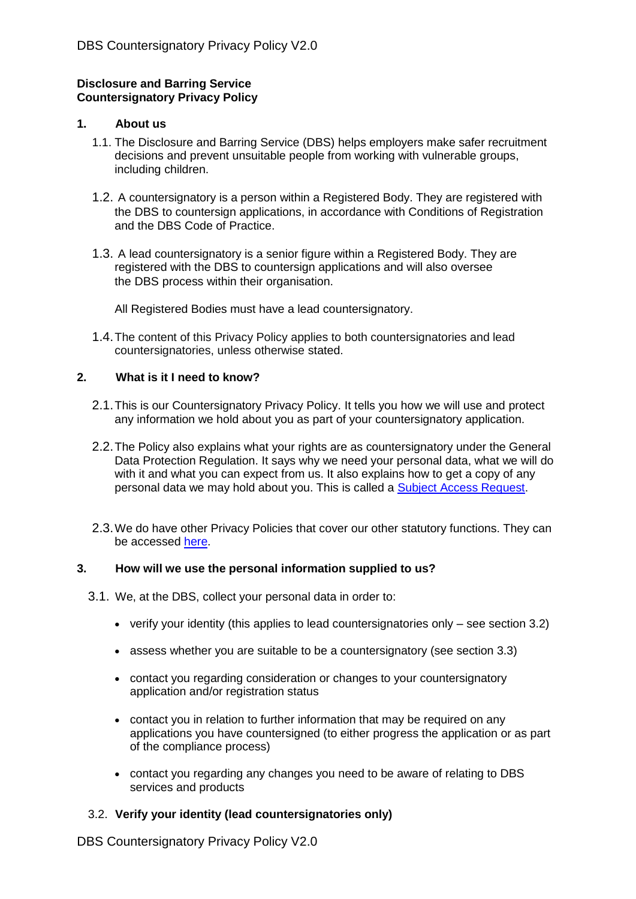### **Disclosure and Barring Service Countersignatory Privacy Policy**

### **1. About us**

- 1.1. The Disclosure and Barring Service (DBS) helps employers make safer recruitment decisions and prevent unsuitable people from working with vulnerable groups, including children.
- 1.2. A countersignatory is a person within a Registered Body. They are registered with the DBS to countersign applications, in accordance with Conditions of Registration and the DBS Code of Practice.
- 1.3. A lead countersignatory is a senior figure within a Registered Body. They are registered with the DBS to countersign applications and will also oversee the DBS process within their organisation.

All Registered Bodies must have a lead countersignatory.

1.4.The content of this Privacy Policy applies to both countersignatories and lead countersignatories, unless otherwise stated.

### **2. What is it I need to know?**

- 2.1.This is our Countersignatory Privacy Policy. It tells you how we will use and protect any information we hold about you as part of your countersignatory application.
- 2.2.The Policy also explains what your rights are as countersignatory under the General Data Protection Regulation. It says why we need your personal data, what we will do with it and what you can expect from us. It also explains how to get a copy of any personal data we may hold about you. This is called a [Subject Access Request.](https://www.gov.uk/government/publications/dbs-subject-access-request)
- 2.3.We do have other Privacy Policies that cover our other statutory functions. They can be accessed [here.](https://www.gov.uk/government/publications/dbs-privacy-policies)

### **3. How will we use the personal information supplied to us?**

- 3.1. We, at the DBS, collect your personal data in order to:
	- verify your identity (this applies to lead countersignatories only see section 3.2)
	- assess whether you are suitable to be a countersignatory (see section 3.3)
	- contact you regarding consideration or changes to your countersignatory application and/or registration status
	- contact you in relation to further information that may be required on any applications you have countersigned (to either progress the application or as part of the compliance process)
	- contact you regarding any changes you need to be aware of relating to DBS services and products

## 3.2. **Verify your identity (lead countersignatories only)**

DBS Countersignatory Privacy Policy V2.0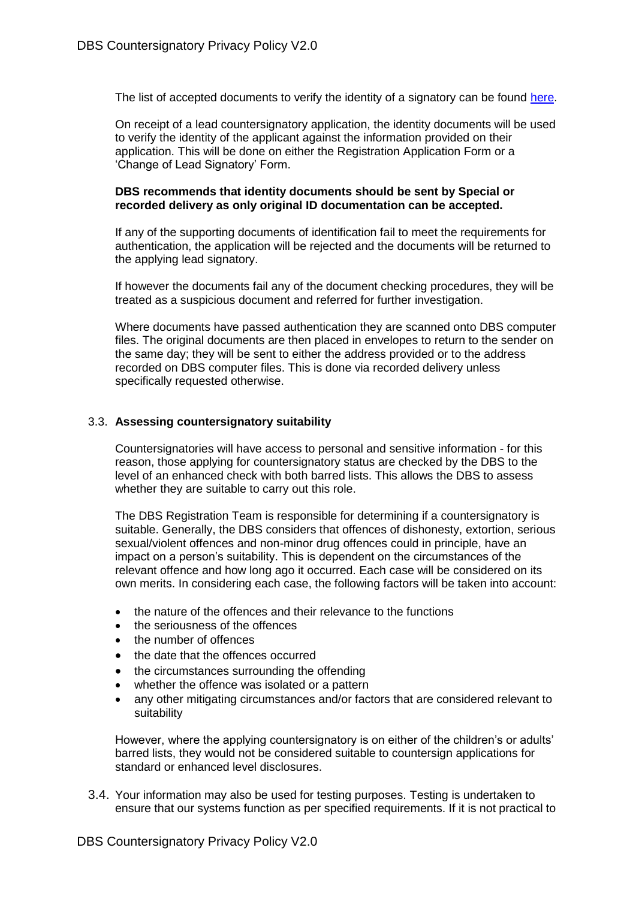The list of accepted documents to verify the identity of a signatory can be found [here.](https://www.gov.uk/government/publications/dbs-identity-checking-guidelines/id-checking-guidelines-for-countersignatory-applica)

On receipt of a lead countersignatory application, the identity documents will be used to verify the identity of the applicant against the information provided on their application. This will be done on either the Registration Application Form or a 'Change of Lead Signatory' Form.

#### **DBS recommends that identity documents should be sent by Special or recorded delivery as only original ID documentation can be accepted.**

If any of the supporting documents of identification fail to meet the requirements for authentication, the application will be rejected and the documents will be returned to the applying lead signatory.

If however the documents fail any of the document checking procedures, they will be treated as a suspicious document and referred for further investigation.

Where documents have passed authentication they are scanned onto DBS computer files. The original documents are then placed in envelopes to return to the sender on the same day; they will be sent to either the address provided or to the address recorded on DBS computer files. This is done via recorded delivery unless specifically requested otherwise.

### 3.3. **Assessing countersignatory suitability**

Countersignatories will have access to personal and sensitive information - for this reason, those applying for countersignatory status are checked by the DBS to the level of an enhanced check with both barred lists. This allows the DBS to assess whether they are suitable to carry out this role.

The DBS Registration Team is responsible for determining if a countersignatory is suitable. Generally, the DBS considers that offences of dishonesty, extortion, serious sexual/violent offences and non-minor drug offences could in principle, have an impact on a person's suitability. This is dependent on the circumstances of the relevant offence and how long ago it occurred. Each case will be considered on its own merits. In considering each case, the following factors will be taken into account:

- the nature of the offences and their relevance to the functions
- the seriousness of the offences
- the number of offences
- the date that the offences occurred
- the circumstances surrounding the offending
- whether the offence was isolated or a pattern
- any other mitigating circumstances and/or factors that are considered relevant to suitability

However, where the applying countersignatory is on either of the children's or adults' barred lists, they would not be considered suitable to countersign applications for standard or enhanced level disclosures.

3.4. Your information may also be used for testing purposes. Testing is undertaken to ensure that our systems function as per specified requirements. If it is not practical to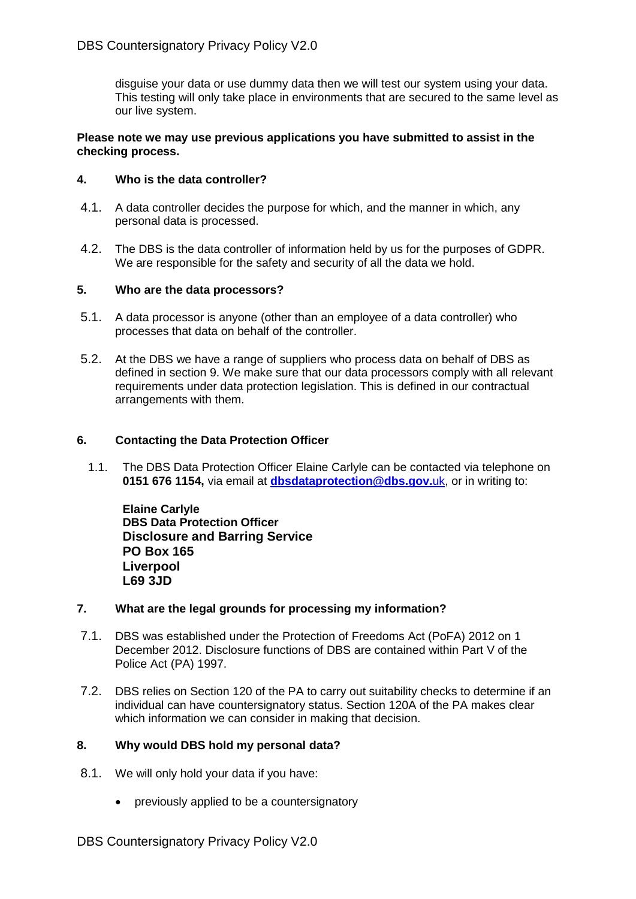disguise your data or use dummy data then we will test our system using your data. This testing will only take place in environments that are secured to the same level as our live system.

#### **Please note we may use previous applications you have submitted to assist in the checking process.**

#### **4. Who is the data controller?**

- 4.1. A data controller decides the purpose for which, and the manner in which, any personal data is processed.
- 4.2. The DBS is the data controller of information held by us for the purposes of GDPR. We are responsible for the safety and security of all the data we hold.

#### **5. Who are the data processors?**

- 5.1. A data processor is anyone (other than an employee of a data controller) who processes that data on behalf of the controller.
- 5.2. At the DBS we have a range of suppliers who process data on behalf of DBS as defined in section 9. We make sure that our data processors comply with all relevant requirements under data protection legislation. This is defined in our contractual arrangements with them.

#### **6. Contacting the Data Protection Officer**

1.1. The DBS Data Protection Officer Elaine Carlyle can be contacted via telephone on **0151 676 1154,** via email at **[dbsdataprotection@dbs.gov.](mailto:dbsdataprotection@dbs.gov.uk)**uk, or in writing to:

**Elaine Carlyle DBS Data Protection Officer Disclosure and Barring Service PO Box 165 Liverpool L69 3JD**

#### **7. What are the legal grounds for processing my information?**

- 7.1. DBS was established under the Protection of Freedoms Act (PoFA) 2012 on 1 December 2012. Disclosure functions of DBS are contained within Part V of the Police Act (PA) 1997.
- 7.2. DBS relies on Section 120 of the PA to carry out suitability checks to determine if an individual can have countersignatory status. Section 120A of the PA makes clear which information we can consider in making that decision.

### **8. Why would DBS hold my personal data?**

- 8.1. We will only hold your data if you have:
	- previously applied to be a countersignatory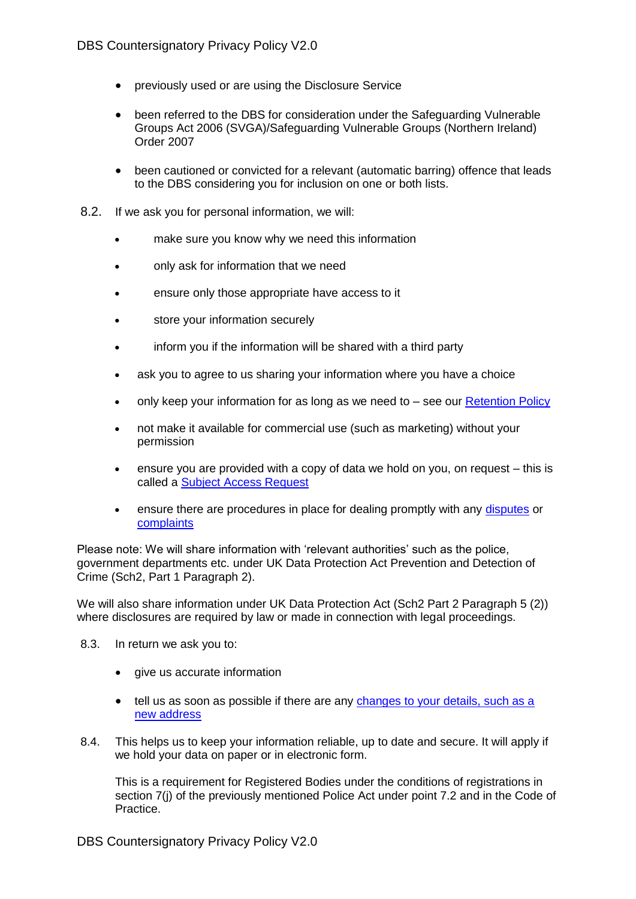- previously used or are using the Disclosure Service
- been referred to the DBS for consideration under the Safeguarding Vulnerable Groups Act 2006 (SVGA)/Safeguarding Vulnerable Groups (Northern Ireland) Order 2007
- been cautioned or convicted for a relevant (automatic barring) offence that leads to the DBS considering you for inclusion on one or both lists.
- 8.2. If we ask you for personal information, we will:
	- make sure you know why we need this information
	- only ask for information that we need
	- ensure only those appropriate have access to it
	- store your information securely
	- inform you if the information will be shared with a third party
	- ask you to agree to us sharing your information where you have a choice
	- only keep your information for as long as we need to  $-$  see our [Retention Policy](https://www.gov.uk/government/publications/dbs-data-retention-policy)
	- not make it available for commercial use (such as marketing) without your permission
	- ensure you are provided with a copy of data we hold on you, on request this is called a [Subject Access Request](https://www.gov.uk/government/publications/dbs-subject-access-request)
	- ensure there are procedures in place for dealing promptly with any [disputes](https://www.gov.uk/report-problem-criminal-record-certificate) or [complaints](https://www.gov.uk/government/organisations/disclosure-and-barring-service/about/complaints-procedure)

Please note: We will share information with 'relevant authorities' such as the police, government departments etc. under UK Data Protection Act Prevention and Detection of Crime (Sch2, Part 1 Paragraph 2).

We will also share information under UK Data Protection Act (Sch2 Part 2 Paragraph 5 (2)) where disclosures are required by law or made in connection with legal proceedings.

- 8.3. In return we ask you to:
	- give us accurate information
	- tell us as soon as possible if there are any changes to your details, such as a new address
- 8.4. This helps us to keep your information reliable, up to date and secure. It will apply if we hold your data on paper or in electronic form.

This is a requirement for Registered Bodies under the conditions of registrations in section 7(j) of the previously mentioned Police Act under point 7.2 and in the Code of Practice.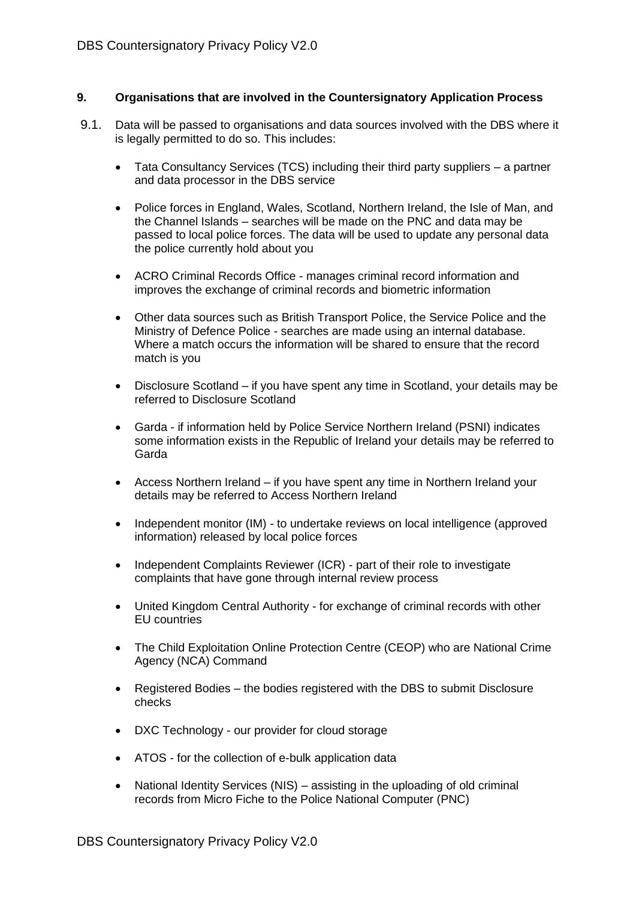## **9. Organisations that are involved in the Countersignatory Application Process**

- 9.1. Data will be passed to organisations and data sources involved with the DBS where it is legally permitted to do so. This includes:
	- Tata Consultancy Services (TCS) including their third party suppliers a partner and data processor in the DBS service
	- Police forces in England, Wales, Scotland, Northern Ireland, the Isle of Man, and the Channel Islands – searches will be made on the PNC and data may be passed to local police forces. The data will be used to update any personal data the police currently hold about you
	- ACRO Criminal Records Office manages criminal record information and improves the exchange of criminal records and biometric information
	- Other data sources such as British Transport Police, the Service Police and the Ministry of Defence Police - searches are made using an internal database. Where a match occurs the information will be shared to ensure that the record match is you
	- Disclosure Scotland if you have spent any time in Scotland, your details may be referred to Disclosure Scotland
	- Garda if information held by Police Service Northern Ireland (PSNI) indicates some information exists in the Republic of Ireland your details may be referred to Garda
	- Access Northern Ireland if you have spent any time in Northern Ireland your details may be referred to Access Northern Ireland
	- Independent monitor (IM) to undertake reviews on local intelligence (approved information) released by local police forces
	- Independent Complaints Reviewer (ICR) part of their role to investigate complaints that have gone through internal review process
	- United Kingdom Central Authority for exchange of criminal records with other EU countries
	- The Child Exploitation Online Protection Centre (CEOP) who are National Crime Agency (NCA) Command
	- Registered Bodies the bodies registered with the DBS to submit Disclosure checks
	- DXC Technology our provider for cloud storage
	- ATOS for the collection of e-bulk application data
	- National Identity Services (NIS) assisting in the uploading of old criminal records from Micro Fiche to the Police National Computer (PNC)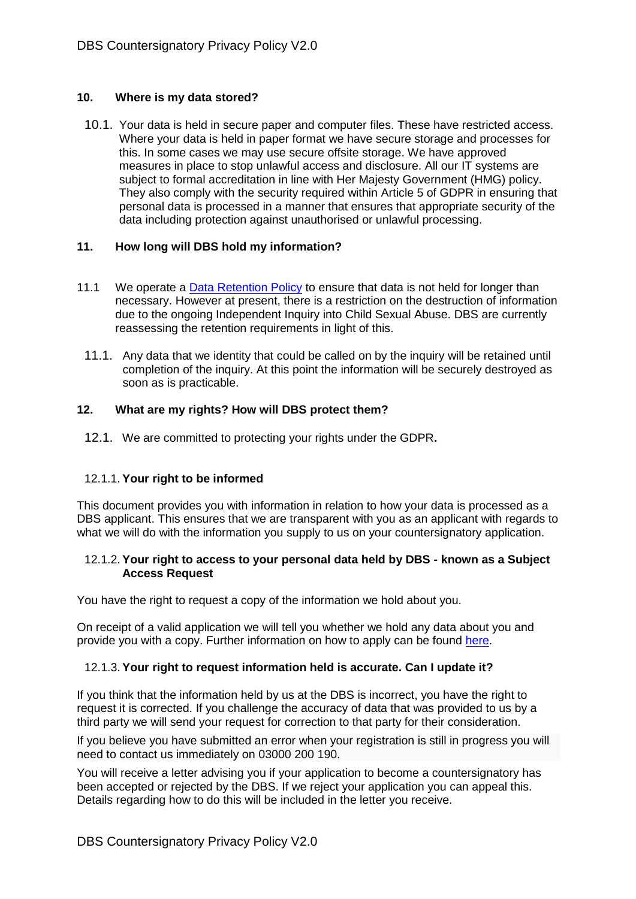## **10. Where is my data stored?**

10.1. Your data is held in secure paper and computer files. These have restricted access. Where your data is held in paper format we have secure storage and processes for this. In some cases we may use secure offsite storage. We have approved measures in place to stop unlawful access and disclosure. All our IT systems are subject to formal accreditation in line with Her Majesty Government (HMG) policy. They also comply with the security required within Article 5 of GDPR in ensuring that personal data is processed in a manner that ensures that appropriate security of the data including protection against unauthorised or unlawful processing.

## **11. How long will DBS hold my information?**

- 11.1 We operate a [Data Retention Policy](https://www.gov.uk/government/publications/dbs-data-retention-policy) to ensure that data is not held for longer than necessary. However at present, there is a restriction on the destruction of information due to the ongoing Independent Inquiry into Child Sexual Abuse. DBS are currently reassessing the retention requirements in light of this.
	- 11.1. Any data that we identity that could be called on by the inquiry will be retained until completion of the inquiry. At this point the information will be securely destroyed as soon as is practicable.

## **12. What are my rights? How will DBS protect them?**

12.1. We are committed to protecting your rights under the GDPR**.**

### 12.1.1. **Your right to be informed**

This document provides you with information in relation to how your data is processed as a DBS applicant. This ensures that we are transparent with you as an applicant with regards to what we will do with the information you supply to us on your countersignatory application.

### 12.1.2. **Your right to access to your personal data held by DBS - known as a Subject Access Request**

You have the right to request a copy of the information we hold about you.

On receipt of a valid application we will tell you whether we hold any data about you and provide you with a copy. Further information on how to apply can be found [here.](https://www.gov.uk/government/publications/dbs-subject-access-request)

### 12.1.3. **Your right to request information held is accurate. Can I update it?**

If you think that the information held by us at the DBS is incorrect, you have the right to request it is corrected. If you challenge the accuracy of data that was provided to us by a third party we will send your request for correction to that party for their consideration.

If you believe you have submitted an error when your registration is still in progress you will need to contact us immediately on 03000 200 190.

You will receive a letter advising you if your application to become a countersignatory has been accepted or rejected by the DBS. If we reject your application you can appeal this. Details regarding how to do this will be included in the letter you receive.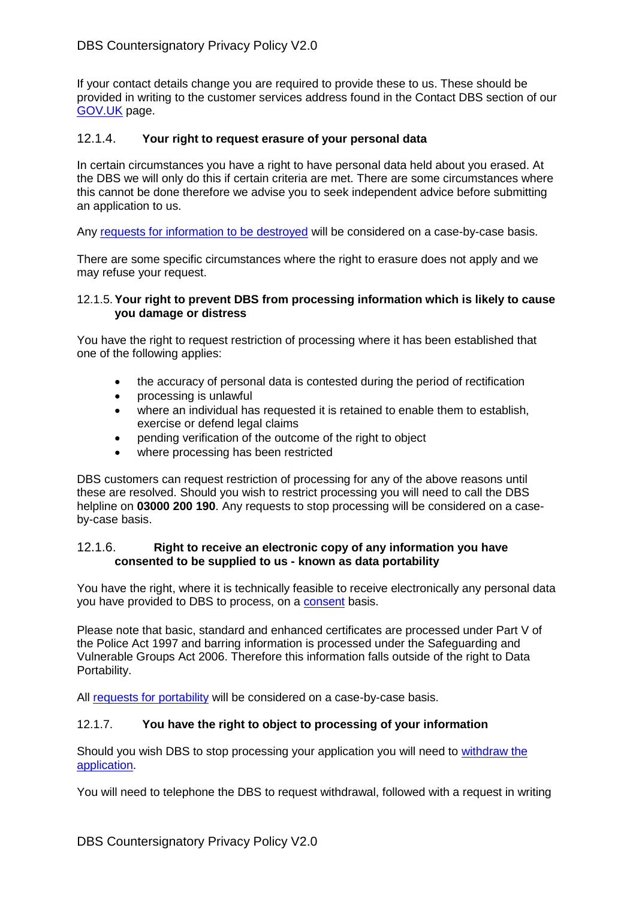If your contact details change you are required to provide these to us. These should be provided in writing to the customer services address found in the Contact DBS section of our [GOV.UK](https://www.gov.uk/government/organisations/disclosure-and-barring-service/about) page.

## 12.1.4. **Your right to request erasure of your personal data**

In certain circumstances you have a right to have personal data held about you erased. At the DBS we will only do this if certain criteria are met. There are some circumstances where this cannot be done therefore we advise you to seek independent advice before submitting an application to us.

Any [requests for information to be destroyed](https://www.gov.uk/government/publications/deletion-of-data) will be considered on a case-by-case basis.

There are some specific circumstances where the right to erasure does not apply and we may refuse your request.

### 12.1.5.**Your right to prevent DBS from processing information which is likely to cause you damage or distress**

You have the right to request restriction of processing where it has been established that one of the following applies:

- the accuracy of personal data is contested during the period of rectification
- processing is unlawful
- where an individual has requested it is retained to enable them to establish, exercise or defend legal claims
- pending verification of the outcome of the right to object
- where processing has been restricted

DBS customers can request restriction of processing for any of the above reasons until these are resolved. Should you wish to restrict processing you will need to call the DBS helpline on **03000 200 190**. Any requests to stop processing will be considered on a caseby-case basis.

### 12.1.6. **Right to receive an electronic copy of any information you have consented to be supplied to us - known as data portability**

You have the right, where it is technically feasible to receive electronically any personal data you have provided to DBS to process, on a [consent](https://www.gov.uk/government/publications/consent-privacy-policy) basis.

Please note that basic, standard and enhanced certificates are processed under Part V of the Police Act 1997 and barring information is processed under the Safeguarding and Vulnerable Groups Act 2006. Therefore this information falls outside of the right to Data Portability.

All [requests for portability](https://www.gov.uk/government/publications/data-portability) will be considered on a case-by-case basis.

# 12.1.7. **You have the right to object to processing of your information**

Should you wish DBS to stop processing your application you will need to [withdraw the](https://www.gov.uk/guidance/dbs-check-requests-guidance-for-employers#withdrawing-applications)  [application.](https://www.gov.uk/guidance/dbs-check-requests-guidance-for-employers#withdrawing-applications)

You will need to telephone the DBS to request withdrawal, followed with a request in writing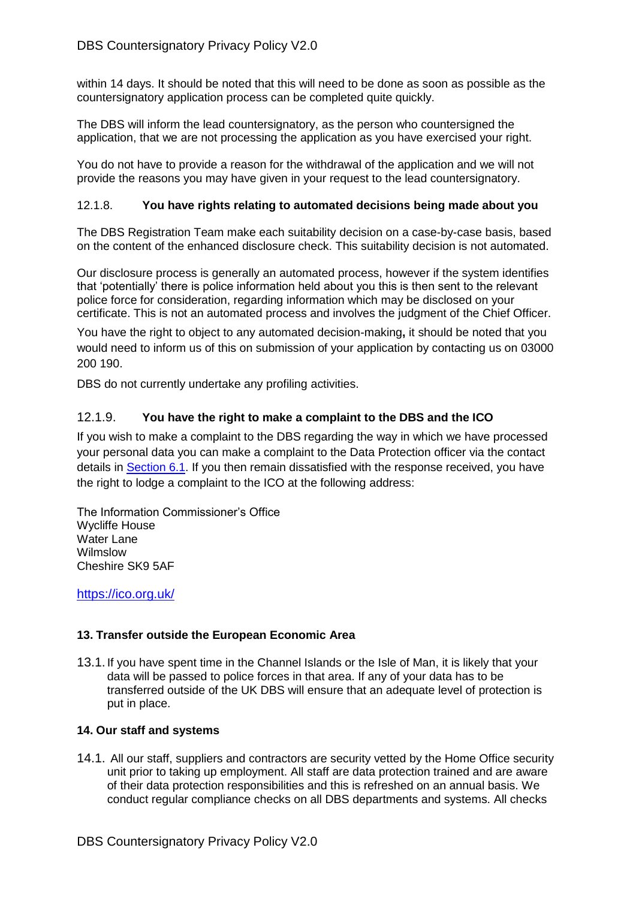within 14 days. It should be noted that this will need to be done as soon as possible as the countersignatory application process can be completed quite quickly.

The DBS will inform the lead countersignatory, as the person who countersigned the application, that we are not processing the application as you have exercised your right.

You do not have to provide a reason for the withdrawal of the application and we will not provide the reasons you may have given in your request to the lead countersignatory.

## 12.1.8. **You have rights relating to automated decisions being made about you**

The DBS Registration Team make each suitability decision on a case-by-case basis, based on the content of the enhanced disclosure check. This suitability decision is not automated.

Our disclosure process is generally an automated process, however if the system identifies that 'potentially' there is police information held about you this is then sent to the relevant police force for consideration, regarding information which may be disclosed on your certificate. This is not an automated process and involves the judgment of the Chief Officer.

You have the right to object to any automated decision-making**,** it should be noted that you would need to inform us of this on submission of your application by contacting us on 03000 200 190.

DBS do not currently undertake any profiling activities.

# 12.1.9. **You have the right to make a complaint to the DBS and the ICO**

If you wish to make a complaint to the DBS regarding the way in which we have processed your personal data you can make a complaint to the Data Protection officer via the contact details in Section 6.1. If you then remain dissatisfied with the response received, you have the right to lodge a complaint to the ICO at the following address:

The Information Commissioner's Office Wycliffe House Water Lane Wilmslow Cheshire SK9 5AF

<https://ico.org.uk/>

# **13. Transfer outside the European Economic Area**

13.1.If you have spent time in the Channel Islands or the Isle of Man, it is likely that your data will be passed to police forces in that area. If any of your data has to be transferred outside of the UK DBS will ensure that an adequate level of protection is put in place.

# **14. Our staff and systems**

14.1. All our staff, suppliers and contractors are security vetted by the Home Office security unit prior to taking up employment. All staff are data protection trained and are aware of their data protection responsibilities and this is refreshed on an annual basis. We conduct regular compliance checks on all DBS departments and systems. All checks